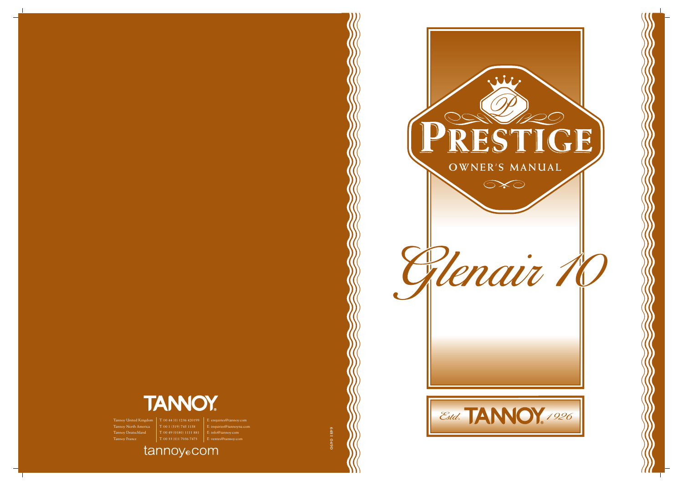

Tannoy United Kingdom  $\left[\begin{array}{c} \text{T: } 00 \text{ } 44 \text{ } (0) \text{ } 1236 \text{ } 420199 \end{array}\right]$ <br>Tannoy North America  $\left[\begin{array}{c} \text{T: } 00 \text{ } 1 \text{ } (519) \text{ } 745 \text{ } 1158 \end{array}\right]$ 





T: 00 1 (519) 745 1158  $\Big|$  E: inquiries@tannoyna.com Tannoy Deutschland T: 00 49 (0180) 1111 881 E: info@tannoy.com Tannoy France T: 00 33 (0)1 7036 7473 E: ventes@tannoy.com

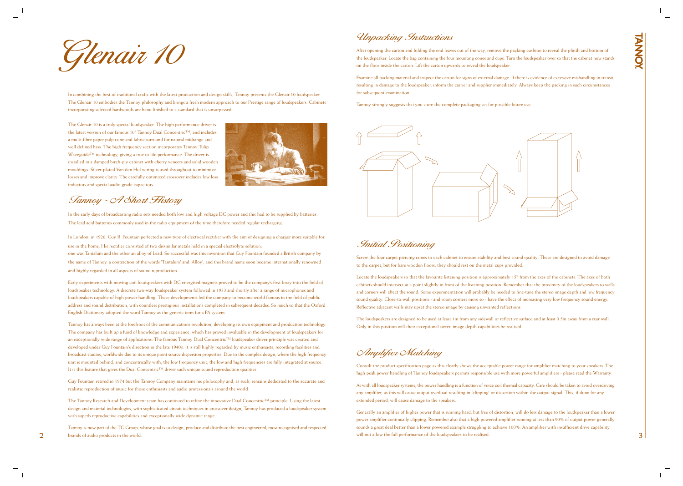Glenair 10

In combining the best of traditional crafts with the latest production and design skills, Tannoy presents the Glenair 10 loudspeaker. The Glenair 10 embodies the Tannoy philosophy and brings a fresh modern approach to our Prestige range of loudspeakers. Cabinets incorporating selected hardwoods are hand finished to a standard that is unsurpassed.

The Glenair 10 is a truly special loudspeaker. The high performance driver is the latest version of our famous 10" Tannoy Dual Concentric™, and includes a multi-fibre paper pulp cone and fabric surround for natural midrange and well defined bass. The high frequency section incorporates Tannoy Tulip Waveguide™ technology, giving a true to life performance. The driver is installed in a damped birch-ply cabinet with cherry veneers and solid wooden mouldings. Silver-plated Van den Hul wiring is used throughout to minimize losses and improve clarity. The carefully optimized crossover includes low loss inductors and special audio grade capacitors.



Tannoy - A Short History

In the early days of broadcasting radio sets needed both low and high voltage DC power and this had to be supplied by batteries. The lead acid batteries commonly used in the radio equipment of the time therefore needed regular recharging.

In London, in 1926, Guy R. Fountain perfected a new type of electrical rectifier with the aim of designing a charger more suitable for use in the home. His rectifier consisted of two dissimilar metals held in a special electrolyte solution;

one was Tantalum and the other an alloy of Lead. So successful was this invention that Guy Fountain founded a British company by the name of Tannoy. a contraction of the words 'Tantalum' and 'Alloy', and this brand name soon became internationally renowned and highly regarded in all aspects of sound reproduction.

Early experiments with moving coil loudspeakers with DC energised magnets proved to be the company's first foray into the field of loudspeaker technology. A discrete two-way loudspeaker system followed in 1933 and shortly after a range of microphones and loudspeakers capable of high power handling. These developments led the company to become world famous in the field of public address and sound distribution, with countless prestigious installations completed in subsequent decades. So much so that the Oxford English Dictionary adopted the word Tannoy as the generic term for a PA system.

Examine all packing material and inspect the carton for signs of external damage. If there is evidence of excessive mishandling in transit, resulting in damage to the loudspeaker, inform the carrier and supplier immediately. Always keep the packing in such circumstances for subsequent examination.

Tannoy has always been at the forefront of the communications revolution, developing its own equipment and production technology. The company has built up a fund of knowledge and experience, which has proved invaluable in the development of loudspeakers for an exceptionally wide range of applications. The famous Tannoy Dual Concentric™ loudspeaker driver principle was created and developed under Guy Fountain's direction in the late 1940's. It is still highly regarded by music enthusiasts, recording facilities and broadcast studios, worldwide due to its unique point source dispersion properties. Due to the complex design, where the high frequency unit is mounted behind, and concentrically with, the low frequency unit, the low and high frequencies are fully integrated at source. It is this feature that gives the Dual Concentric™ driver such unique sound reproduction qualities.

Guy Fountain retired in 1974 but the Tannoy Company maintains his philosophy and, as such, remains dedicated to the accurate and realistic reproduction of music for those enthusiasts and audio professionals around the world.

The Tannoy Research and Development team has continued to refine the innovative Dual Concentric™ principle. Using the latest design and material technologies, with sophisticated circuit techniques in crossover design; Tannoy has produced a loudspeaker system with superb reproductive capabilities and exceptionally wide dynamic range.

Tannoy is now part of the TG Group, whose goal is to design, produce and distribute the best engineered, most recognised and respected **2** brands of audio products in the world.

**3**

# Initial Positioning

Screw the four carpet piercing cones to each cabinet to ensure stability and best sound quality. These are designed to avoid damage to the carpet, but for bare wooden floors, they should rest on the metal cups provided.

Locate the loudspeakers so that the favourite listening position is approximately 15° from the axes of the cabinets. The axes of both cabinets should intersect at a point slightly in front of the listening position. Remember that the proximity of the loudspeakers to walls and corners will affect the sound. Some experimentation will probably be needed to fine-tune the stereo image depth and low frequency sound quality. Close-to-wall positions - and room corners more so - have the effect of increasing very low frequency sound energy. Reflective adjacent walls may upset the stereo image by causing unwanted reflections.

The loudspeakers are designed to be used at least 1m from any sidewall or reflective surface and at least 0.5m away from a rear wall. Only in this position will their exceptional stereo image depth capabilities be realised.

# Unpacking Instructions

After opening the carton and folding the end leaves out of the way, remove the packing cushion to reveal the plinth and bottom of the loudspeaker. Locate the bag containing the four mounting cones and cups. Turn the loudspeaker over so that the cabinet now stands on the floor inside the carton. Lift the carton upwards to reveal the loudspeaker.

Tannoy strongly suggests that you store the complete packaging set for possible future use.



# Amplifier Matching

# Consult the product specification page as this clearly shows the acceptable power range for amplifier matching to your speakers. The



high peak power handling of Tannoy loudspeakers permits responsible use with more powerful amplifiers - please read the Warranty.

As with all loudspeaker systems, the power handling is a function of voice coil thermal capacity. Care should be taken to avoid overdriving any amplifier, as this will cause output overload resulting in 'clipping' or distortion within the output signal. This, if done for any extended period, will cause damage to the speakers.

Generally an amplifier of higher power that is running hard, but free of distortion, will do less damage to the loudspeaker than a lower power amplifier continually clipping. Remember also that a high powered amplifier running at less than 90% of output power generally sounds a great deal better than a lower powered example struggling to achieve 100%. An amplifier with insufficient drive capability will not allow the full performance of the loudspeakers to be realised.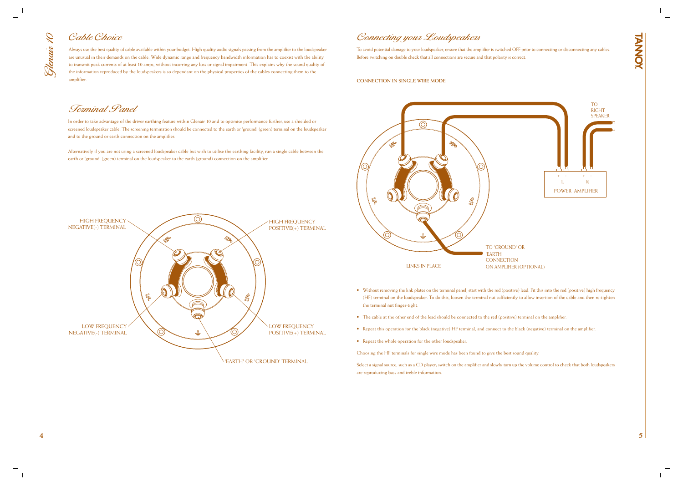

To avoid potential damage to your loudspeaker, ensure that the amplifier is switched OFF prior to connecting or disconnecting any cables. Before switching on double check that all connections are secure and that polarity is correct.

#### **CONNECTION IN SINGLE WIRE MODE**

• Without removing the link plates on the terminal panel, start with the red (positive) lead. Fit this into the red (positive) high frequency (HF) terminal on the loudspeaker. To do this, loosen the terminal nut sufficiently to allow insertion of the cable and then re-tighten

- the terminal nut finger-tight.
- The cable at the other end of the lead should be connected to the red (positive) terminal on the amplifier.
- Repeat this operation for the black (negative) HF terminal, and connect to the black (negative) terminal on the amplifier.
- Repeat the whole operation for the other loudspeaker.
- Choosing the HF terminals for single wire mode has been found to give the best sound quality.

Select a signal source, such as a CD player; switch on the amplifier and slowly turn up the volume control to check that both loudspeakers are reproducing bass and treble information.

# Connecting your Loudspeakers

Always use the best quality of cable available within your budget. High quality audio signals passing from the amplifier to the loudspeaker are unusual in their demands on the cable. Wide dynamic range and frequency bandwidth information has to coexist with the ability to transmit peak currents of at least 10 amps, without incurring any loss or signal impairment. This explains why the sound quality of the information reproduced by the loudspeakers is so dependant on the physical properties of the cables connecting them to the amplifier.

 $\mathscr{D}$ Chenair

# Cable Choice

In order to take advantage of the driver earthing feature within Glenair 10 and to optimise performance further, use a shielded or screened loudspeaker cable. The screening termination should be connected to the earth or 'ground' (green) terminal on the loudspeaker and to the ground or earth connection on the amplifier.

Alternatively if you are not using a screened loudspeaker cable but wish to utilise the earthing facility, run a single cable between the earth or 'ground' (green) terminal on the loudspeaker to the earth (ground) connection on the amplifier.

# Terminal Panel



#### LINKS IN PLACE

'EARTH' **CONNECTION** ON AMPLIFIER (OPTIONAL)

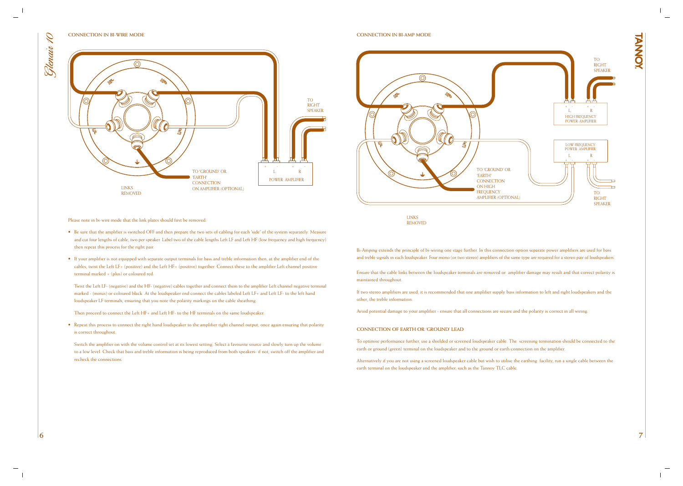**CONNECTION IN BI-WIRE MODE**

 $\mathscr{D}$ 

Glenair

Please note in bi-wire mode that the link plates should first be removed.

Twist the Left LF- (negative) and the HF- (negative) cables together and connect them to the amplifier Left channel negative terminal marked - (minus) or coloured black. At the loudspeaker end connect the cables labeled Left LF+ and Left LF- to the left hand loudspeaker LF terminals, ensuring that you note the polarity markings on the cable sheathing.

Then proceed to connect the Left HF+ and Left HF- to the HF terminals on the same loudspeaker.

- Be sure that the amplifier is switched OFF and then prepare the two sets of cabling for each 'side' of the system separately. Measure and cut four lengths of cable, two per speaker. Label two of the cable lengths Left LF and Left HF (low frequency and high frequency) then repeat this process for the right pair.
- If your amplifier is not equipped with separate output terminals for bass and treble information then, at the amplifier end of the cables, twist the Left LF+ (positive) and the Left HF+ (positive) together. Connect these to the amplifier Left channel positive terminal marked + (plus) or coloured red.

• Repeat this process to connect the right hand loudspeaker to the amplifier right channel output, once again ensuring that polarity is correct throughout.

Switch the amplifier on with the volume control set at its lowest setting. Select a favourite source and slowly turn up the volume to a low level. Check that bass and treble information is being reproduced from both speakers- if not, switch off the amplifier and recheck the connections.

Š/ 'EARTH'





#### **CONNECTION IN BI-AMP MODE**

maintained throughout.

other, the treble information.

#### **CONNECTION OF EARTH OR 'GROUND' LEAD**

earth or ground (green) terminal on the loudspeaker and to the ground or earth connection on the amplifier.

earth terminal on the loudspeaker and the amplifier, such as the Tannoy TLC cable.

LINKS REMOVED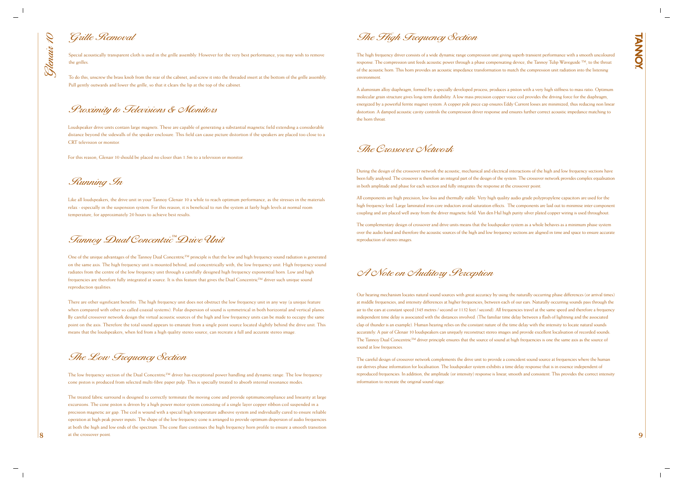Special acoustically transparent cloth is used in the grille assembly. However for the very best performance, you may wish to remove the grilles.

To do this, unscrew the brass knob from the rear of the cabinet, and screw it into the threaded insert at the bottom of the grille assembly. Pull gently outwards and lower the grille, so that it clears the lip at the top of the cabinet.

# Grille Removal

Loudspeaker drive units contain large magnets. These are capable of generating a substantial magnetic field extending a considerable distance beyond the sidewalls of the speaker enclosure. This field can cause picture distortion if the speakers are placed too close to a CRT television or monitor.

For this reason, Glenair 10 should be placed no closer than 1.5m to a television or monitor.

# Proximity to Televisions & Monitors

Like all loudspeakers, the drive unit in your Tannoy Glenair 10 a while to reach optimum performance, as the stresses in the materials relax - especially in the suspension system. For this reason, it is beneficial to run the system at fairly high levels at normal room temperature, for approximately 20 hours to achieve best results.

Running In

The low frequency section of the Dual Concentric<sup>™</sup> driver has exceptional power handling and dynamic range. The low frequency cone piston is produced from selected multi-fibre paper pulp. This is specially treated to absorb internal resonance modes.

One of the unique advantages of the Tannoy Dual Concentric™ principle is that the low and high frequency sound radiation is generated on the same axis. The high frequency unit is mounted behind, and concentrically with, the low frequency unit. High frequency sound radiates from the centre of the low frequency unit through a carefully designed high frequency exponential horn. Low and high frequencies are therefore fully integrated at source. It is this feature that gives the Dual Concentric™ driver such unique sound reproduction qualities.

**8 9** The treated fabric surround is designed to correctly terminate the moving cone and provide optimumcompliance and linearity at large excursions. The cone piston is driven by a high power motor system consisting of a single layer copper ribbon coil suspended in a precision magnetic air gap. The coil is wound with a special high temperature adhesive system and individually cured to ensure reliable operation at high peak power inputs. The shape of the low frequency cone is arranged to provide optimum dispersion of audio frequencies at both the high and low ends of the spectrum. The cone flare continues the high frequency horn profile to ensure a smooth transition at the crossover point.

There are other significant benefits. The high frequency unit does not obstruct the low frequency unit in any way (a unique feature when compared with other so called coaxial systems). Polar dispersion of sound is symmetrical in both horizontal and vertical planes. By careful crossover network design the virtual acoustic sources of the high and low frequency units can be made to occupy the same point on the axis. Therefore the total sound appears to emanate from a single point source located slightly behind the drive unit. This means that the loudspeakers, when fed from a high quality stereo source, can recreate a full and accurate stereo image.

The Low Frequency Section

The high frequency driver consists of a wide dynamic range compression unit giving superb transient performance with a smooth uncoloured response. The compression unit feeds acoustic power through a phase compensating device, the Tannoy Tulip Waveguide ™, to the throat of the acoustic horn. This horn provides an acoustic impedance transformation to match the compression unit radiation into the listening environment.

A aluminium alloy diaphragm, formed by a specially developed process, produces a piston with a very high stiffness to mass ratio. Optimum molecular grain structure gives long-term durability. A low mass precision copper voice coil provides the driving force for the diaphragm, energized by a powerful ferrite magnet system. A copper pole piece cap ensures Eddy Current losses are minimized, thus reducing non linear distortion. A damped acoustic cavity controls the compression driver response and ensures further correct acoustic impedance matching to the horn throat.

The High Frequency Section

During the design of the crossover network the acoustic, mechanical and electrical interactions of the high and low frequency sections have been fully analysed. The crossover is therefore an integral part of the design of the system. The crossover network provides complex equalisation in both amplitude and phase for each section and fully integrates the response at the crossover point.

Tannoy Dual Concentric Drive Unit **™**

All components are high precision, low-loss and thermally stable. Very high quality audio grade polypropylene capacitors are used for the high frequency feed. Large laminated iron core inductors avoid saturation effects. The components are laid out to minimise inter component coupling and are placed well away from the driver magnetic field. Van den Hul high purity silver plated copper wiring is used throughout.

The complementary design of crossover and drive units means that the loudspeaker system as a whole behaves as a minimum phase system over the audio band and therefore the acoustic sources of the high and low frequency sections are aligned in time and space to ensure accurate reproduction of stereo images.

The Crossover Network

Our hearing mechanism locates natural sound sources with great accuracy by using the naturally occurring phase differences (or arrival times) at middle frequencies, and intensity differences at higher frequencies, between each of our ears. Naturally occurring sounds pass through the air to the ears at constant speed (345 metres / second or 1132 feet / second). All frequencies travel at the same speed and therefore a frequency independent time delay is associated with the distances involved. (The familiar time delay between a flash of lightning and the associated clap of thunder is an example). Human hearing relies on the constant nature of the time delay with the intensity to locate natural sounds accurately. A pair of Glenair 10 loudspeakers can uniquely reconstruct stereo images and provide excellent localisation of recorded sounds. The Tannoy Dual Concentric™ driver principle ensures that the source of sound at high frequencies is one the same axis as the source of sound at low frequencies.

The careful design of crossover network complements the drive unit to provide a coincident sound source at frequencies where the human ear derives phase information for localisation. The loudspeaker system exhibits a time delay response that is in essence independent of reproduced frequencies. In addition, the amplitude (or intensity) response is linear, smooth and consistent. This provides the correct intensity information to recreate the original sound stage.

# **TANNOY**

A Note on Auditory Perception